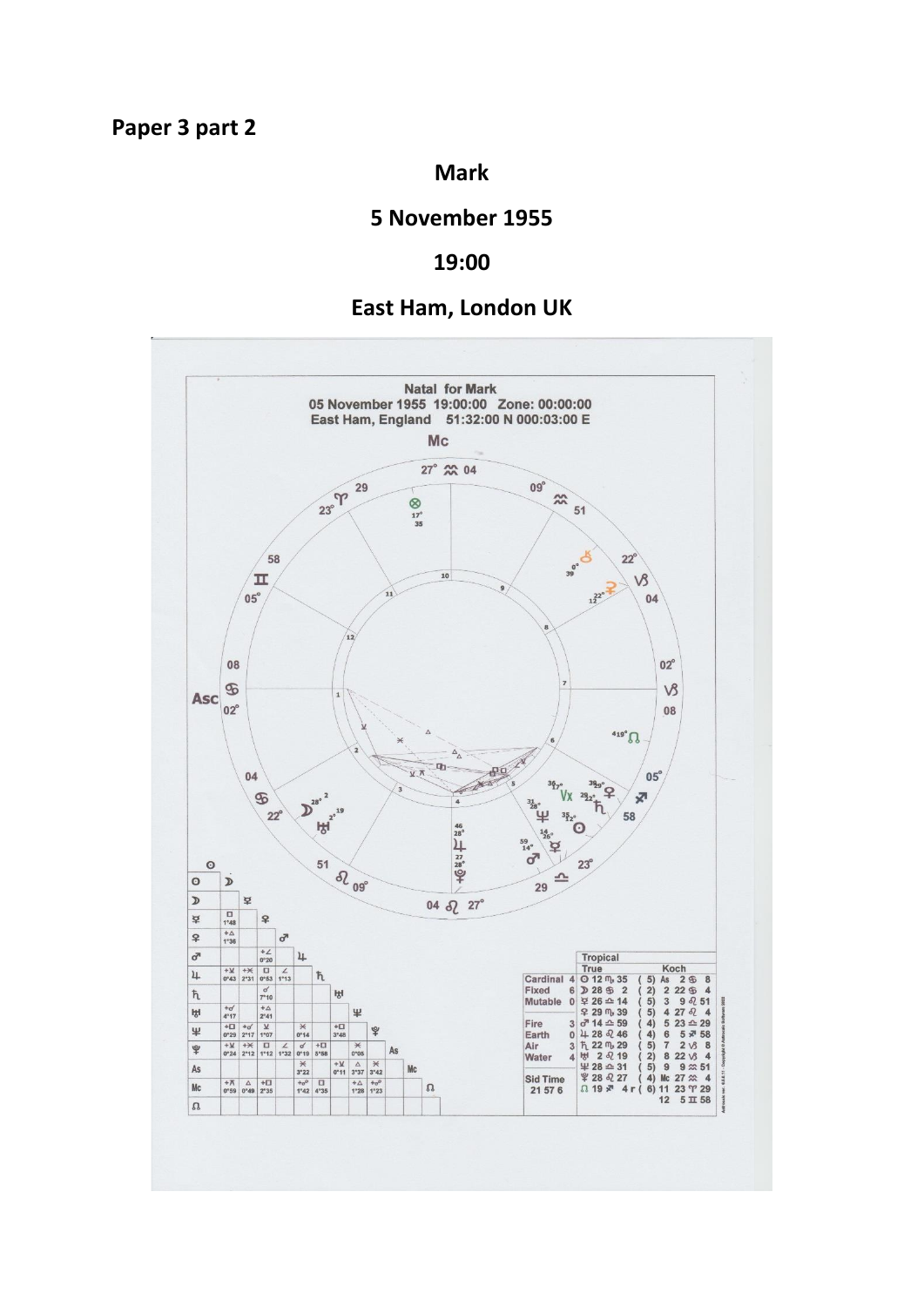## **Mark**

# **5 November 1955**

### **19:00**

## **East Ham, London UK**

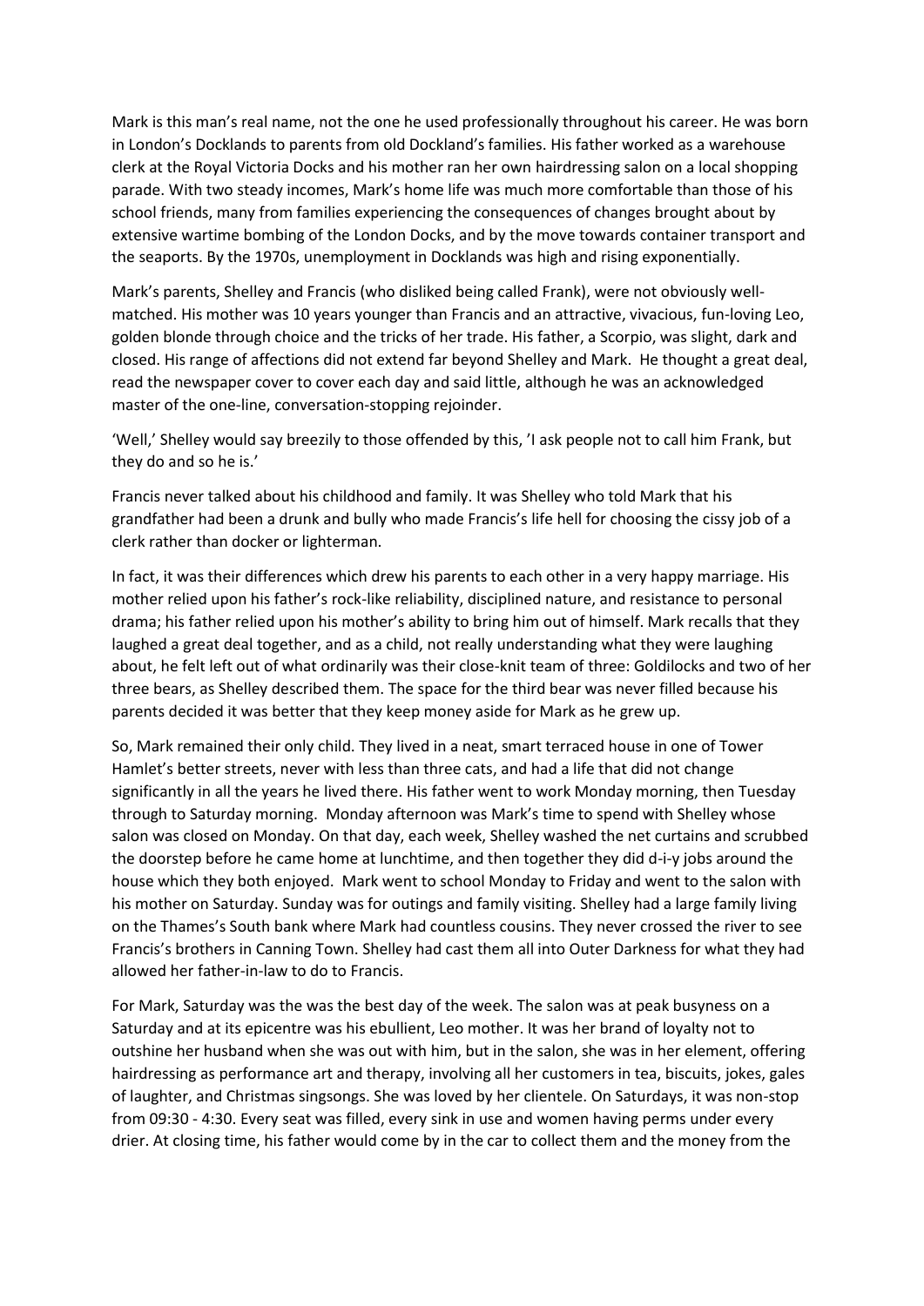Mark is this man's real name, not the one he used professionally throughout his career. He was born in London's Docklands to parents from old Dockland's families. His father worked as a warehouse clerk at the Royal Victoria Docks and his mother ran her own hairdressing salon on a local shopping parade. With two steady incomes, Mark's home life was much more comfortable than those of his school friends, many from families experiencing the consequences of changes brought about by extensive wartime bombing of the London Docks, and by the move towards container transport and the seaports. By the 1970s, unemployment in Docklands was high and rising exponentially.

Mark's parents, Shelley and Francis (who disliked being called Frank), were not obviously wellmatched. His mother was 10 years younger than Francis and an attractive, vivacious, fun-loving Leo, golden blonde through choice and the tricks of her trade. His father, a Scorpio, was slight, dark and closed. His range of affections did not extend far beyond Shelley and Mark. He thought a great deal, read the newspaper cover to cover each day and said little, although he was an acknowledged master of the one-line, conversation-stopping rejoinder.

'Well,' Shelley would say breezily to those offended by this, 'I ask people not to call him Frank, but they do and so he is.'

Francis never talked about his childhood and family. It was Shelley who told Mark that his grandfather had been a drunk and bully who made Francis's life hell for choosing the cissy job of a clerk rather than docker or lighterman.

In fact, it was their differences which drew his parents to each other in a very happy marriage. His mother relied upon his father's rock-like reliability, disciplined nature, and resistance to personal drama; his father relied upon his mother's ability to bring him out of himself. Mark recalls that they laughed a great deal together, and as a child, not really understanding what they were laughing about, he felt left out of what ordinarily was their close-knit team of three: Goldilocks and two of her three bears, as Shelley described them. The space for the third bear was never filled because his parents decided it was better that they keep money aside for Mark as he grew up.

So, Mark remained their only child. They lived in a neat, smart terraced house in one of Tower Hamlet's better streets, never with less than three cats, and had a life that did not change significantly in all the years he lived there. His father went to work Monday morning, then Tuesday through to Saturday morning. Monday afternoon was Mark's time to spend with Shelley whose salon was closed on Monday. On that day, each week, Shelley washed the net curtains and scrubbed the doorstep before he came home at lunchtime, and then together they did d-i-y jobs around the house which they both enjoyed. Mark went to school Monday to Friday and went to the salon with his mother on Saturday. Sunday was for outings and family visiting. Shelley had a large family living on the Thames's South bank where Mark had countless cousins. They never crossed the river to see Francis's brothers in Canning Town. Shelley had cast them all into Outer Darkness for what they had allowed her father-in-law to do to Francis.

For Mark, Saturday was the was the best day of the week. The salon was at peak busyness on a Saturday and at its epicentre was his ebullient, Leo mother. It was her brand of loyalty not to outshine her husband when she was out with him, but in the salon, she was in her element, offering hairdressing as performance art and therapy, involving all her customers in tea, biscuits, jokes, gales of laughter, and Christmas singsongs. She was loved by her clientele. On Saturdays, it was non-stop from 09:30 - 4:30. Every seat was filled, every sink in use and women having perms under every drier. At closing time, his father would come by in the car to collect them and the money from the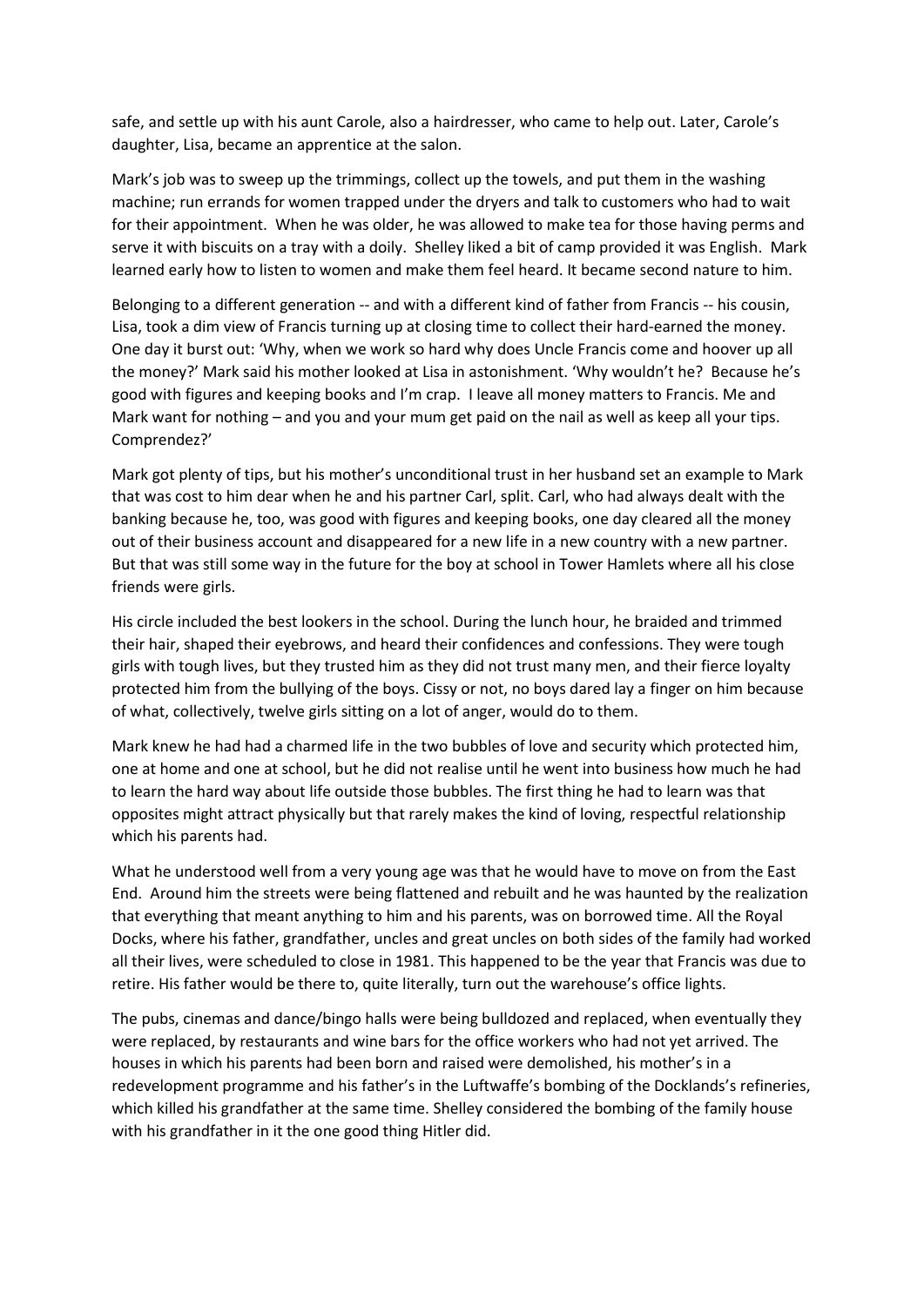safe, and settle up with his aunt Carole, also a hairdresser, who came to help out. Later, Carole's daughter, Lisa, became an apprentice at the salon.

Mark's job was to sweep up the trimmings, collect up the towels, and put them in the washing machine; run errands for women trapped under the dryers and talk to customers who had to wait for their appointment. When he was older, he was allowed to make tea for those having perms and serve it with biscuits on a tray with a doily. Shelley liked a bit of camp provided it was English. Mark learned early how to listen to women and make them feel heard. It became second nature to him.

Belonging to a different generation -- and with a different kind of father from Francis -- his cousin, Lisa, took a dim view of Francis turning up at closing time to collect their hard-earned the money. One day it burst out: 'Why, when we work so hard why does Uncle Francis come and hoover up all the money?' Mark said his mother looked at Lisa in astonishment. 'Why wouldn't he? Because he's good with figures and keeping books and I'm crap. I leave all money matters to Francis. Me and Mark want for nothing – and you and your mum get paid on the nail as well as keep all your tips. Comprendez?'

Mark got plenty of tips, but his mother's unconditional trust in her husband set an example to Mark that was cost to him dear when he and his partner Carl, split. Carl, who had always dealt with the banking because he, too, was good with figures and keeping books, one day cleared all the money out of their business account and disappeared for a new life in a new country with a new partner. But that was still some way in the future for the boy at school in Tower Hamlets where all his close friends were girls.

His circle included the best lookers in the school. During the lunch hour, he braided and trimmed their hair, shaped their eyebrows, and heard their confidences and confessions. They were tough girls with tough lives, but they trusted him as they did not trust many men, and their fierce loyalty protected him from the bullying of the boys. Cissy or not, no boys dared lay a finger on him because of what, collectively, twelve girls sitting on a lot of anger, would do to them.

Mark knew he had had a charmed life in the two bubbles of love and security which protected him, one at home and one at school, but he did not realise until he went into business how much he had to learn the hard way about life outside those bubbles. The first thing he had to learn was that opposites might attract physically but that rarely makes the kind of loving, respectful relationship which his parents had.

What he understood well from a very young age was that he would have to move on from the East End. Around him the streets were being flattened and rebuilt and he was haunted by the realization that everything that meant anything to him and his parents, was on borrowed time. All the Royal Docks, where his father, grandfather, uncles and great uncles on both sides of the family had worked all their lives, were scheduled to close in 1981. This happened to be the year that Francis was due to retire. His father would be there to, quite literally, turn out the warehouse's office lights.

The pubs, cinemas and dance/bingo halls were being bulldozed and replaced, when eventually they were replaced, by restaurants and wine bars for the office workers who had not yet arrived. The houses in which his parents had been born and raised were demolished, his mother's in a redevelopment programme and his father's in the Luftwaffe's bombing of the Docklands's refineries, which killed his grandfather at the same time. Shelley considered the bombing of the family house with his grandfather in it the one good thing Hitler did.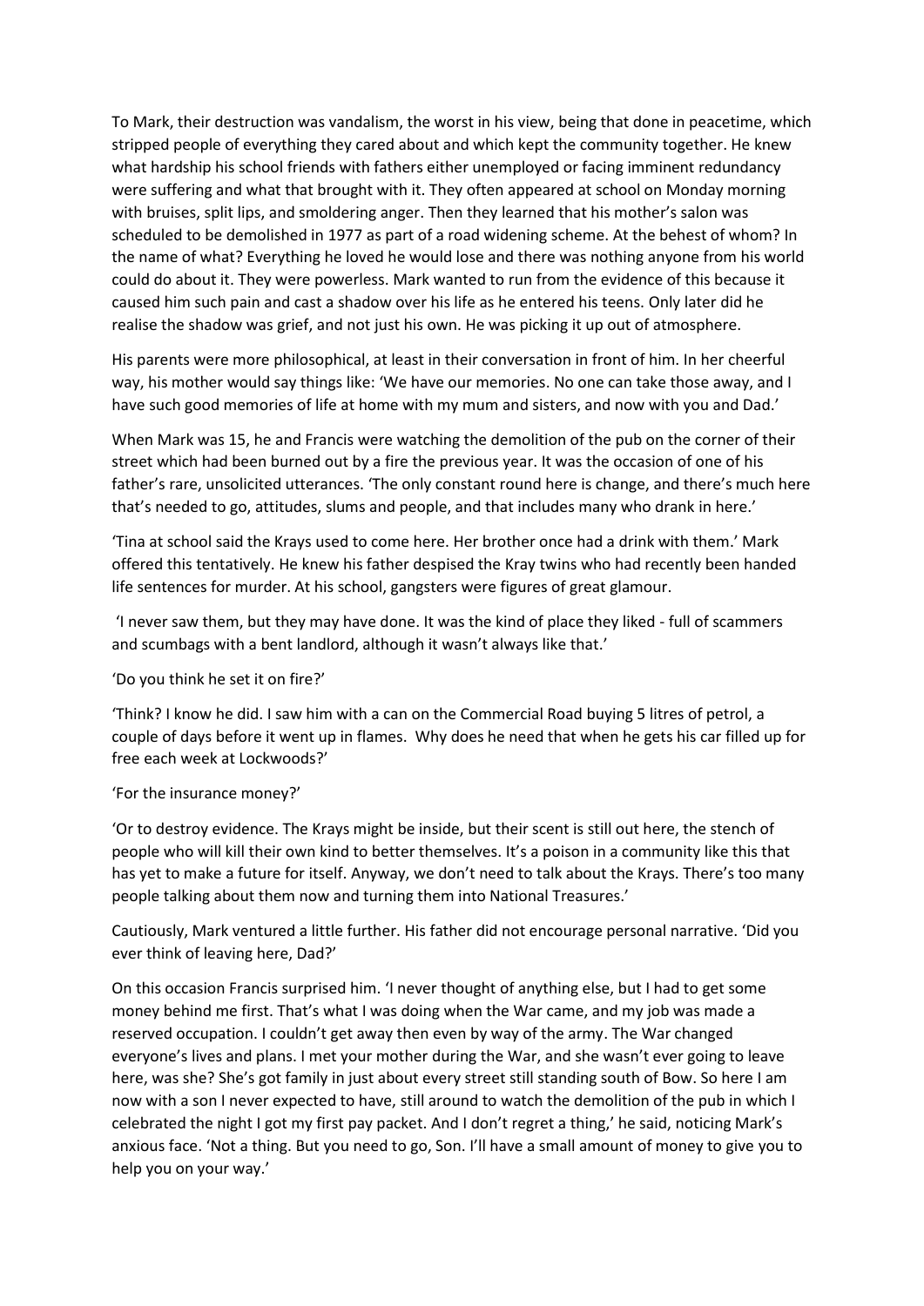To Mark, their destruction was vandalism, the worst in his view, being that done in peacetime, which stripped people of everything they cared about and which kept the community together. He knew what hardship his school friends with fathers either unemployed or facing imminent redundancy were suffering and what that brought with it. They often appeared at school on Monday morning with bruises, split lips, and smoldering anger. Then they learned that his mother's salon was scheduled to be demolished in 1977 as part of a road widening scheme. At the behest of whom? In the name of what? Everything he loved he would lose and there was nothing anyone from his world could do about it. They were powerless. Mark wanted to run from the evidence of this because it caused him such pain and cast a shadow over his life as he entered his teens. Only later did he realise the shadow was grief, and not just his own. He was picking it up out of atmosphere.

His parents were more philosophical, at least in their conversation in front of him. In her cheerful way, his mother would say things like: 'We have our memories. No one can take those away, and I have such good memories of life at home with my mum and sisters, and now with you and Dad.'

When Mark was 15, he and Francis were watching the demolition of the pub on the corner of their street which had been burned out by a fire the previous year. It was the occasion of one of his father's rare, unsolicited utterances. 'The only constant round here is change, and there's much here that's needed to go, attitudes, slums and people, and that includes many who drank in here.'

'Tina at school said the Krays used to come here. Her brother once had a drink with them.' Mark offered this tentatively. He knew his father despised the Kray twins who had recently been handed life sentences for murder. At his school, gangsters were figures of great glamour.

'I never saw them, but they may have done. It was the kind of place they liked - full of scammers and scumbags with a bent landlord, although it wasn't always like that.'

'Do you think he set it on fire?'

'Think? I know he did. I saw him with a can on the Commercial Road buying 5 litres of petrol, a couple of days before it went up in flames. Why does he need that when he gets his car filled up for free each week at Lockwoods?'

#### 'For the insurance money?'

'Or to destroy evidence. The Krays might be inside, but their scent is still out here, the stench of people who will kill their own kind to better themselves. It's a poison in a community like this that has yet to make a future for itself. Anyway, we don't need to talk about the Krays. There's too many people talking about them now and turning them into National Treasures.'

Cautiously, Mark ventured a little further. His father did not encourage personal narrative. 'Did you ever think of leaving here, Dad?'

On this occasion Francis surprised him. 'I never thought of anything else, but I had to get some money behind me first. That's what I was doing when the War came, and my job was made a reserved occupation. I couldn't get away then even by way of the army. The War changed everyone's lives and plans. I met your mother during the War, and she wasn't ever going to leave here, was she? She's got family in just about every street still standing south of Bow. So here I am now with a son I never expected to have, still around to watch the demolition of the pub in which I celebrated the night I got my first pay packet. And I don't regret a thing,' he said, noticing Mark's anxious face. 'Not a thing. But you need to go, Son. I'll have a small amount of money to give you to help you on your way.'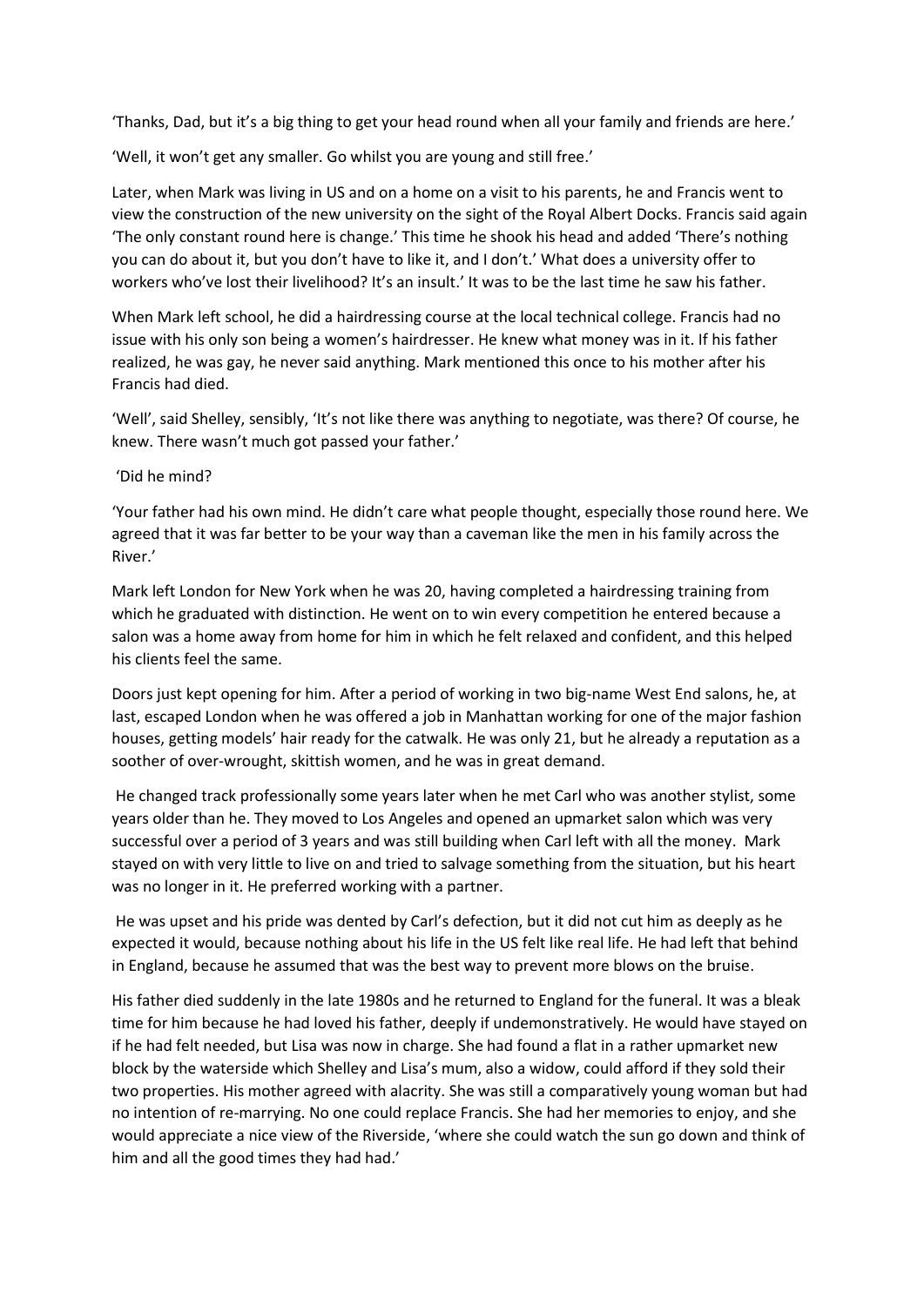'Thanks, Dad, but it's a big thing to get your head round when all your family and friends are here.'

'Well, it won't get any smaller. Go whilst you are young and still free.'

Later, when Mark was living in US and on a home on a visit to his parents, he and Francis went to view the construction of the new university on the sight of the Royal Albert Docks. Francis said again 'The only constant round here is change.' This time he shook his head and added 'There's nothing you can do about it, but you don't have to like it, and I don't.' What does a university offer to workers who've lost their livelihood? It's an insult.' It was to be the last time he saw his father.

When Mark left school, he did a hairdressing course at the local technical college. Francis had no issue with his only son being a women's hairdresser. He knew what money was in it. If his father realized, he was gay, he never said anything. Mark mentioned this once to his mother after his Francis had died.

'Well', said Shelley, sensibly, 'It's not like there was anything to negotiate, was there? Of course, he knew. There wasn't much got passed your father.'

#### 'Did he mind?

'Your father had his own mind. He didn't care what people thought, especially those round here. We agreed that it was far better to be your way than a caveman like the men in his family across the River.'

Mark left London for New York when he was 20, having completed a hairdressing training from which he graduated with distinction. He went on to win every competition he entered because a salon was a home away from home for him in which he felt relaxed and confident, and this helped his clients feel the same.

Doors just kept opening for him. After a period of working in two big-name West End salons, he, at last, escaped London when he was offered a job in Manhattan working for one of the major fashion houses, getting models' hair ready for the catwalk. He was only 21, but he already a reputation as a soother of over-wrought, skittish women, and he was in great demand.

He changed track professionally some years later when he met Carl who was another stylist, some years older than he. They moved to Los Angeles and opened an upmarket salon which was very successful over a period of 3 years and was still building when Carl left with all the money. Mark stayed on with very little to live on and tried to salvage something from the situation, but his heart was no longer in it. He preferred working with a partner.

He was upset and his pride was dented by Carl's defection, but it did not cut him as deeply as he expected it would, because nothing about his life in the US felt like real life. He had left that behind in England, because he assumed that was the best way to prevent more blows on the bruise.

His father died suddenly in the late 1980s and he returned to England for the funeral. It was a bleak time for him because he had loved his father, deeply if undemonstratively. He would have stayed on if he had felt needed, but Lisa was now in charge. She had found a flat in a rather upmarket new block by the waterside which Shelley and Lisa's mum, also a widow, could afford if they sold their two properties. His mother agreed with alacrity. She was still a comparatively young woman but had no intention of re-marrying. No one could replace Francis. She had her memories to enjoy, and she would appreciate a nice view of the Riverside, 'where she could watch the sun go down and think of him and all the good times they had had.'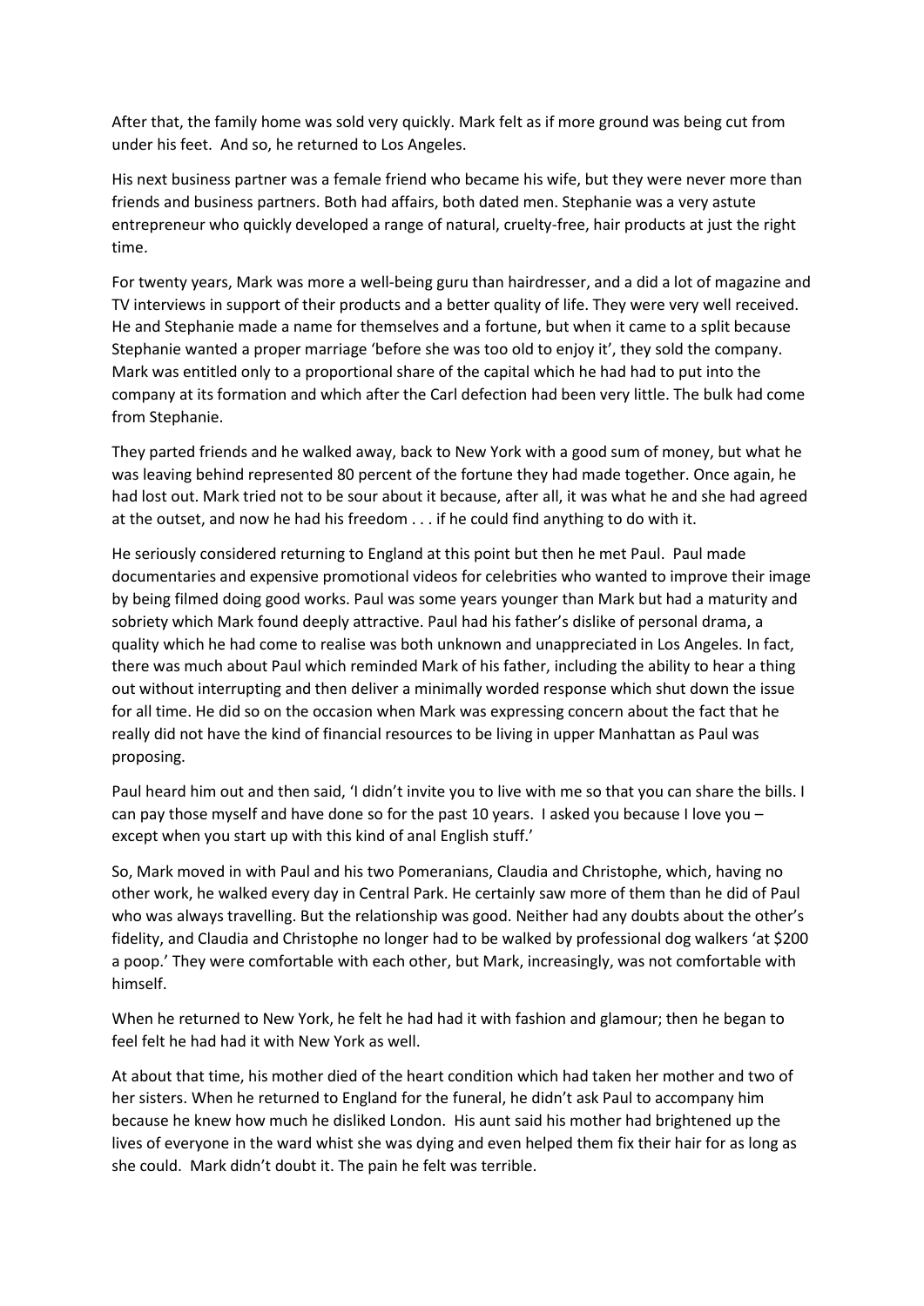After that, the family home was sold very quickly. Mark felt as if more ground was being cut from under his feet. And so, he returned to Los Angeles.

His next business partner was a female friend who became his wife, but they were never more than friends and business partners. Both had affairs, both dated men. Stephanie was a very astute entrepreneur who quickly developed a range of natural, cruelty-free, hair products at just the right time.

For twenty years, Mark was more a well-being guru than hairdresser, and a did a lot of magazine and TV interviews in support of their products and a better quality of life. They were very well received. He and Stephanie made a name for themselves and a fortune, but when it came to a split because Stephanie wanted a proper marriage 'before she was too old to enjoy it', they sold the company. Mark was entitled only to a proportional share of the capital which he had had to put into the company at its formation and which after the Carl defection had been very little. The bulk had come from Stephanie.

They parted friends and he walked away, back to New York with a good sum of money, but what he was leaving behind represented 80 percent of the fortune they had made together. Once again, he had lost out. Mark tried not to be sour about it because, after all, it was what he and she had agreed at the outset, and now he had his freedom . . . if he could find anything to do with it.

He seriously considered returning to England at this point but then he met Paul. Paul made documentaries and expensive promotional videos for celebrities who wanted to improve their image by being filmed doing good works. Paul was some years younger than Mark but had a maturity and sobriety which Mark found deeply attractive. Paul had his father's dislike of personal drama, a quality which he had come to realise was both unknown and unappreciated in Los Angeles. In fact, there was much about Paul which reminded Mark of his father, including the ability to hear a thing out without interrupting and then deliver a minimally worded response which shut down the issue for all time. He did so on the occasion when Mark was expressing concern about the fact that he really did not have the kind of financial resources to be living in upper Manhattan as Paul was proposing.

Paul heard him out and then said, 'I didn't invite you to live with me so that you can share the bills. I can pay those myself and have done so for the past 10 years. I asked you because I love you – except when you start up with this kind of anal English stuff.'

So, Mark moved in with Paul and his two Pomeranians, Claudia and Christophe, which, having no other work, he walked every day in Central Park. He certainly saw more of them than he did of Paul who was always travelling. But the relationship was good. Neither had any doubts about the other's fidelity, and Claudia and Christophe no longer had to be walked by professional dog walkers 'at \$200 a poop.' They were comfortable with each other, but Mark, increasingly, was not comfortable with himself.

When he returned to New York, he felt he had had it with fashion and glamour; then he began to feel felt he had had it with New York as well.

At about that time, his mother died of the heart condition which had taken her mother and two of her sisters. When he returned to England for the funeral, he didn't ask Paul to accompany him because he knew how much he disliked London. His aunt said his mother had brightened up the lives of everyone in the ward whist she was dying and even helped them fix their hair for as long as she could. Mark didn't doubt it. The pain he felt was terrible.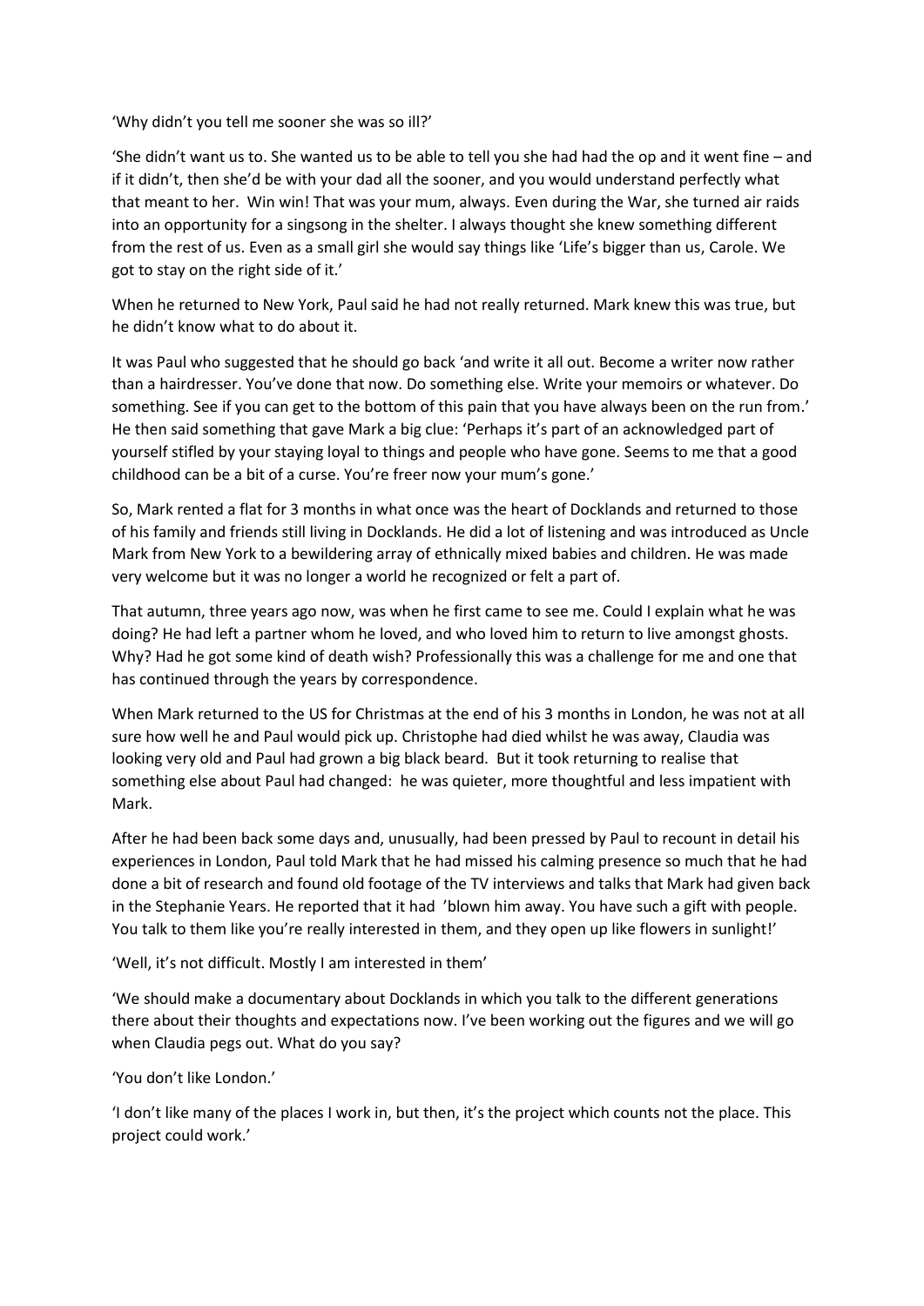'Why didn't you tell me sooner she was so ill?'

'She didn't want us to. She wanted us to be able to tell you she had had the op and it went fine – and if it didn't, then she'd be with your dad all the sooner, and you would understand perfectly what that meant to her. Win win! That was your mum, always. Even during the War, she turned air raids into an opportunity for a singsong in the shelter. I always thought she knew something different from the rest of us. Even as a small girl she would say things like 'Life's bigger than us, Carole. We got to stay on the right side of it.'

When he returned to New York, Paul said he had not really returned. Mark knew this was true, but he didn't know what to do about it.

It was Paul who suggested that he should go back 'and write it all out. Become a writer now rather than a hairdresser. You've done that now. Do something else. Write your memoirs or whatever. Do something. See if you can get to the bottom of this pain that you have always been on the run from.' He then said something that gave Mark a big clue: 'Perhaps it's part of an acknowledged part of yourself stifled by your staying loyal to things and people who have gone. Seems to me that a good childhood can be a bit of a curse. You're freer now your mum's gone.'

So, Mark rented a flat for 3 months in what once was the heart of Docklands and returned to those of his family and friends still living in Docklands. He did a lot of listening and was introduced as Uncle Mark from New York to a bewildering array of ethnically mixed babies and children. He was made very welcome but it was no longer a world he recognized or felt a part of.

That autumn, three years ago now, was when he first came to see me. Could I explain what he was doing? He had left a partner whom he loved, and who loved him to return to live amongst ghosts. Why? Had he got some kind of death wish? Professionally this was a challenge for me and one that has continued through the years by correspondence.

When Mark returned to the US for Christmas at the end of his 3 months in London, he was not at all sure how well he and Paul would pick up. Christophe had died whilst he was away, Claudia was looking very old and Paul had grown a big black beard. But it took returning to realise that something else about Paul had changed: he was quieter, more thoughtful and less impatient with Mark.

After he had been back some days and, unusually, had been pressed by Paul to recount in detail his experiences in London, Paul told Mark that he had missed his calming presence so much that he had done a bit of research and found old footage of the TV interviews and talks that Mark had given back in the Stephanie Years. He reported that it had 'blown him away. You have such a gift with people. You talk to them like you're really interested in them, and they open up like flowers in sunlight!'

'Well, it's not difficult. Mostly I am interested in them'

'We should make a documentary about Docklands in which you talk to the different generations there about their thoughts and expectations now. I've been working out the figures and we will go when Claudia pegs out. What do you say?

'You don't like London.'

'I don't like many of the places I work in, but then, it's the project which counts not the place. This project could work.'